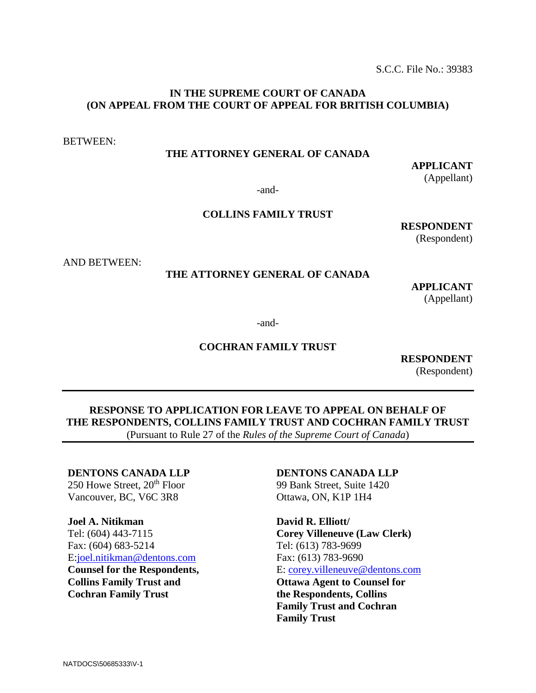S.C.C. File No.: 39383

## **IN THE SUPREME COURT OF CANADA (ON APPEAL FROM THE COURT OF APPEAL FOR BRITISH COLUMBIA)**

BETWEEN:

# **THE ATTORNEY GENERAL OF CANADA**

**APPLICANT** (Appellant)

-and-

# **COLLINS FAMILY TRUST**

**RESPONDENT**

(Respondent)

AND BETWEEN:

## **THE ATTORNEY GENERAL OF CANADA**

**APPLICANT** (Appellant)

-and-

# **COCHRAN FAMILY TRUST**

**RESPONDENT** (Respondent)

**RESPONSE TO APPLICATION FOR LEAVE TO APPEAL ON BEHALF OF THE RESPONDENTS, COLLINS FAMILY TRUST AND COCHRAN FAMILY TRUST** (Pursuant to Rule 27 of the *Rules of the Supreme Court of Canada*)

## **DENTONS CANADA LLP**

 $250$  Howe Street,  $20<sup>th</sup>$  Floor Vancouver, BC, V6C 3R8

#### **Joel A. Nitikman**

Tel: (604) 443-7115 Fax: (604) 683-5214 E[:joel.nitikman@dentons.com](mailto:joel.nitikman@dentons.com)

**Counsel for the Respondents, Collins Family Trust and Cochran Family Trust**

#### **DENTONS CANADA LLP**

99 Bank Street, Suite 1420 Ottawa, ON, K1P 1H4

**David R. Elliott/ Corey Villeneuve (Law Clerk)** Tel: (613) 783-9699 Fax: (613) 783-9690 E: [corey.villeneuve@dentons.com](mailto:corey.villeneuve@dentons.com) **Ottawa Agent to Counsel for the Respondents, Collins Family Trust and Cochran Family Trust**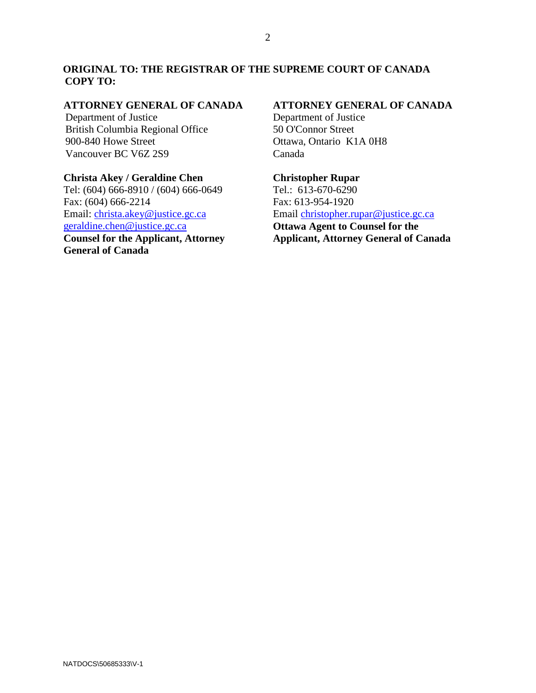# **ORIGINAL TO: THE REGISTRAR OF THE SUPREME COURT OF CANADA COPY TO:**

#### **ATTORNEY GENERAL OF CANADA**

Department of Justice British Columbia Regional Office 900-840 Howe Street Vancouver BC V6Z 2S9

# **Christa Akey / Geraldine Chen**

Tel: (604) 666-8910 / (604) 666-0649 Fax: (604) 666-2214 Email: [christa.akey@justice.gc.ca](mailto:christa.akey@justice.gc.ca) [geraldine.chen@justice.gc.ca](mailto:geraldine.chen@justice.gc.ca) **Counsel for the Applicant, Attorney General of Canada**

# **ATTORNEY GENERAL OF CANADA**

Department of Justice 50 O'Connor Street Ottawa, Ontario K1A 0H8 Canada

**Christopher Rupar** Tel.: 613-670-6290 Fax: 613-954-1920 Email [christopher.rupar@justice.gc.ca](mailto:christopher.rupar@justice.gc.ca) **Ottawa Agent to Counsel for the Applicant, Attorney General of Canada**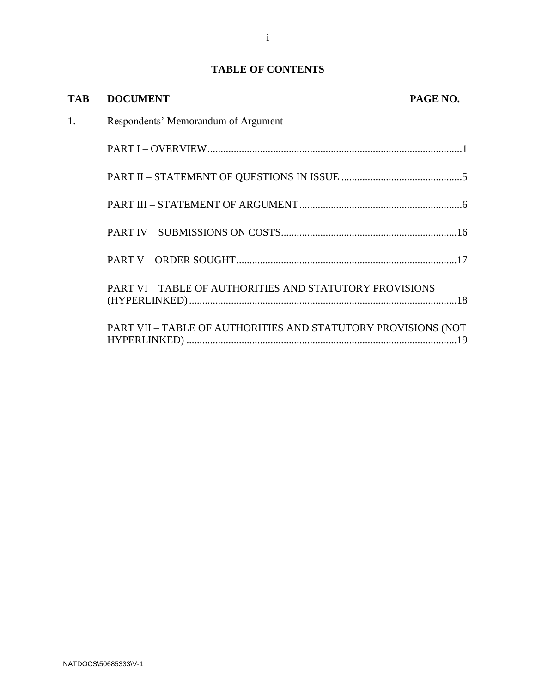# **TABLE OF CONTENTS**

| <b>TAB</b> | <b>DOCUMENT</b>                                               | PAGE NO. |
|------------|---------------------------------------------------------------|----------|
| 1.         | Respondents' Memorandum of Argument                           |          |
|            |                                                               |          |
|            |                                                               |          |
|            |                                                               |          |
|            |                                                               |          |
|            |                                                               |          |
|            | PART VI - TABLE OF AUTHORITIES AND STATUTORY PROVISIONS       |          |
|            | PART VII - TABLE OF AUTHORITIES AND STATUTORY PROVISIONS (NOT |          |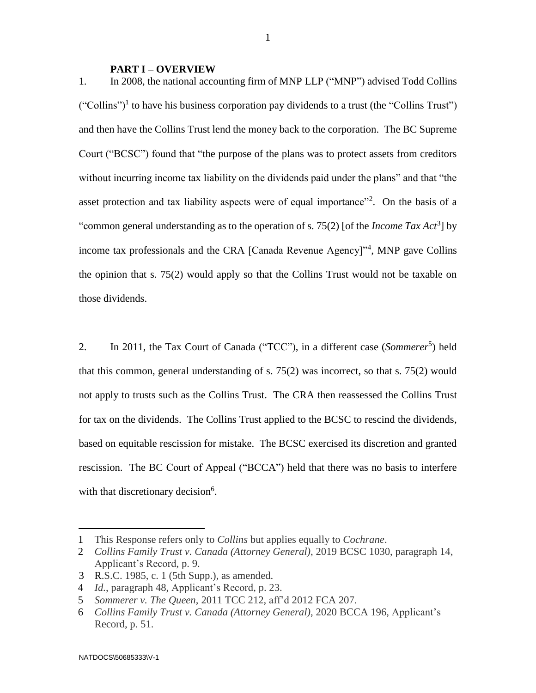#### **PART I – OVERVIEW**

1. In 2008, the national accounting firm of MNP LLP ("MNP") advised Todd Collins ("Collins")<sup>1</sup> to have his business corporation pay dividends to a trust (the "Collins Trust") and then have the Collins Trust lend the money back to the corporation. The BC Supreme Court ("BCSC") found that "the purpose of the plans was to protect assets from creditors without incurring income tax liability on the dividends paid under the plans" and that "the asset protection and tax liability aspects were of equal importance"<sup>2</sup>. On the basis of a "common general understanding as to the operation of s. 75(2) [of the *Income Tax Act*<sup>3</sup> ] by income tax professionals and the CRA [Canada Revenue Agency]"<sup>4</sup>, MNP gave Collins the opinion that s. 75(2) would apply so that the Collins Trust would not be taxable on those dividends.

2. In 2011, the Tax Court of Canada ("TCC"), in a different case (*Sommerer*<sup>5</sup>) held that this common, general understanding of s. 75(2) was incorrect, so that s. 75(2) would not apply to trusts such as the Collins Trust. The CRA then reassessed the Collins Trust for tax on the dividends. The Collins Trust applied to the BCSC to rescind the dividends, based on equitable rescission for mistake. The BCSC exercised its discretion and granted rescission. The BC Court of Appeal ("BCCA") held that there was no basis to interfere with that discretionary decision<sup>6</sup>.

<sup>1</sup> This Response refers only to *Collins* but applies equally to *Cochrane*.

<sup>2</sup> *Collins Family Trust v. [Canada \(Attorney General\)](https://www.canlii.org/en/bc/bcsc/doc/2019/2019bcsc1030/2019bcsc1030.html?searchUrlHash=AAAAAQAKcmVzY2lzc2lvbgAAAAAB&resultIndex=2)*, 2019 BCSC 1030, paragraph 14, Applicant's Record, p. 9.

<sup>3</sup> R.S.C. 1985, c. 1 (5th Supp.), as amended.

<sup>4</sup> *Id.*, paragraph 48, Applicant's Record, p. 23.

<sup>5</sup> *Sommerer v. The Queen*, 2011 TCC 212, aff'd 2012 FCA 207.

<sup>6</sup> *[Collins Family Trust v. Canada \(Attorney General\)](https://www.canlii.org/en/bc/bcca/doc/2020/2020bcca196/2020bcca196.html?searchUrlHash=AAAAAQAJIHNvbW1lcmVyAAAAAAE&resultIndex=1)*, 2020 BCCA 196, Applicant's Record, p. 51.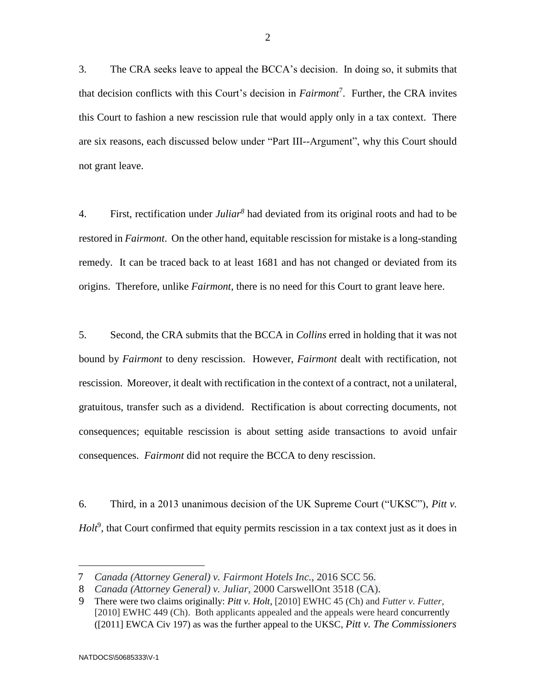3. The CRA seeks leave to appeal the BCCA's decision. In doing so, it submits that that decision conflicts with this Court's decision in *Fairmont*<sup>7</sup> . Further, the CRA invites this Court to fashion a new rescission rule that would apply only in a tax context. There are six reasons, each discussed below under "Part III--Argument", why this Court should not grant leave.

4. First, rectification under *Juliar<sup>8</sup>* had deviated from its original roots and had to be restored in *Fairmont*. On the other hand, equitable rescission for mistake is a long-standing remedy. It can be traced back to at least 1681 and has not changed or deviated from its origins. Therefore, unlike *Fairmont*, there is no need for this Court to grant leave here.

5. Second, the CRA submits that the BCCA in *Collins* erred in holding that it was not bound by *Fairmont* to deny rescission. However, *Fairmont* dealt with rectification, not rescission. Moreover, it dealt with rectification in the context of a contract, not a unilateral, gratuitous, transfer such as a dividend. Rectification is about correcting documents, not consequences; equitable rescission is about setting aside transactions to avoid unfair consequences. *Fairmont* did not require the BCCA to deny rescission.

6. Third, in a 2013 unanimous decision of the UK Supreme Court ("UKSC"), *Pitt v.*  Holt<sup>9</sup>, that Court confirmed that equity permits rescission in a tax context just as it does in

<sup>7</sup> *Canada (Attorney General) v. Fairmont Hotels Inc.*, 2016 SCC 56.

<sup>8</sup> *Canada (Attorney General) v. Juliar*, 2000 CarswellOnt 3518 (CA).

<sup>9</sup> There were two claims originally: *Pitt v. Holt*, [2010] EWHC 45 (Ch) and *Futter v. Futter*, [2010] EWHC 449 (Ch). Both applicants appealed and the appeals were heard concurrently ([2011] EWCA Civ 197) as was the further appeal to the UKSC, *Pitt v. The Commissioners*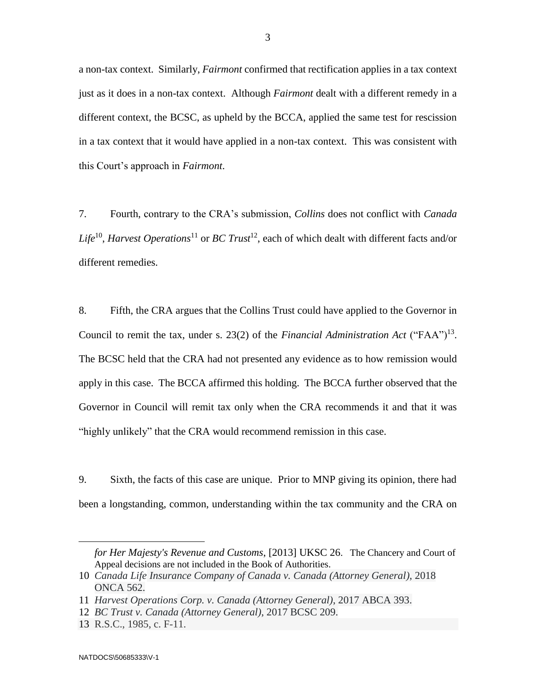a non-tax context. Similarly, *Fairmont* confirmed that rectification applies in a tax context just as it does in a non-tax context. Although *Fairmont* dealt with a different remedy in a different context, the BCSC, as upheld by the BCCA, applied the same test for rescission in a tax context that it would have applied in a non-tax context. This was consistent with this Court's approach in *Fairmont*.

7. Fourth, contrary to the CRA's submission, *Collins* does not conflict with *Canada Life*<sup>10</sup> , *Harvest Operations*<sup>11</sup> or *BC Trust*<sup>12</sup>, each of which dealt with different facts and/or different remedies.

8. Fifth, the CRA argues that the Collins Trust could have applied to the Governor in Council to remit the tax, under s. 23(2) of the *Financial Administration Act* ("FAA")<sup>13</sup>. The BCSC held that the CRA had not presented any evidence as to how remission would apply in this case. The BCCA affirmed this holding. The BCCA further observed that the Governor in Council will remit tax only when the CRA recommends it and that it was "highly unlikely" that the CRA would recommend remission in this case.

9. Sixth, the facts of this case are unique. Prior to MNP giving its opinion, there had been a longstanding, common, understanding within the tax community and the CRA on

*for Her Majesty's Revenue and Customs*, [2013] UKSC 26. The Chancery and Court of Appeal decisions are not included in the Book of Authorities.

<sup>10</sup> *Canada Life Insurance Company of Canada v. Canada (Attorney General)*, 2018 ONCA 562.

<sup>11</sup> *Harvest Operations Corp. v. Canada (Attorney General)*, 2017 ABCA 393.

<sup>12</sup> *BC Trust v. Canada (Attorney General)*, 2017 BCSC 209.

<sup>13</sup> R.S.C., 1985, c. F-11.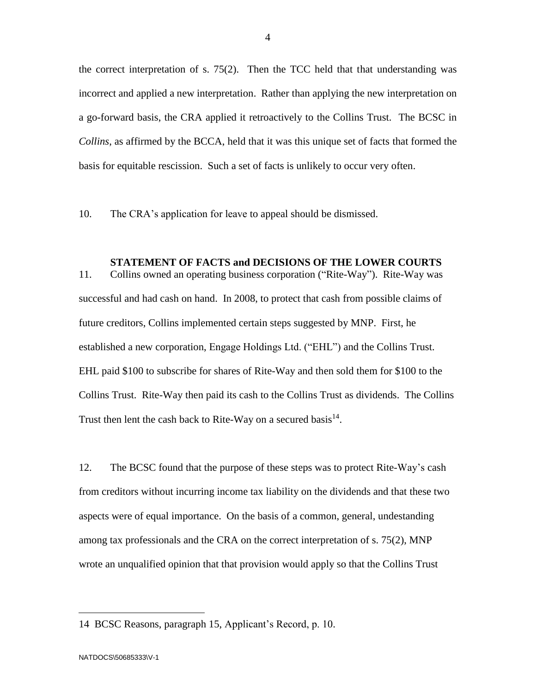the correct interpretation of s. 75(2). Then the TCC held that that understanding was incorrect and applied a new interpretation. Rather than applying the new interpretation on a go-forward basis, the CRA applied it retroactively to the Collins Trust. The BCSC in *Collins*, as affirmed by the BCCA, held that it was this unique set of facts that formed the basis for equitable rescission. Such a set of facts is unlikely to occur very often.

10. The CRA's application for leave to appeal should be dismissed.

#### **STATEMENT OF FACTS and DECISIONS OF THE LOWER COURTS**

11. Collins owned an operating business corporation ("Rite-Way"). Rite-Way was successful and had cash on hand. In 2008, to protect that cash from possible claims of future creditors, Collins implemented certain steps suggested by MNP. First, he established a new corporation, Engage Holdings Ltd. ("EHL") and the Collins Trust. EHL paid \$100 to subscribe for shares of Rite-Way and then sold them for \$100 to the Collins Trust. Rite-Way then paid its cash to the Collins Trust as dividends. The Collins Trust then lent the cash back to Rite-Way on a secured basis $^{14}$ .

12. The BCSC found that the purpose of these steps was to protect Rite-Way's cash from creditors without incurring income tax liability on the dividends and that these two aspects were of equal importance. On the basis of a common, general, undestanding among tax professionals and the CRA on the correct interpretation of s. 75(2), MNP wrote an unqualified opinion that that provision would apply so that the Collins Trust

<sup>14</sup> BCSC Reasons, paragraph 15, Applicant's Record, p. 10.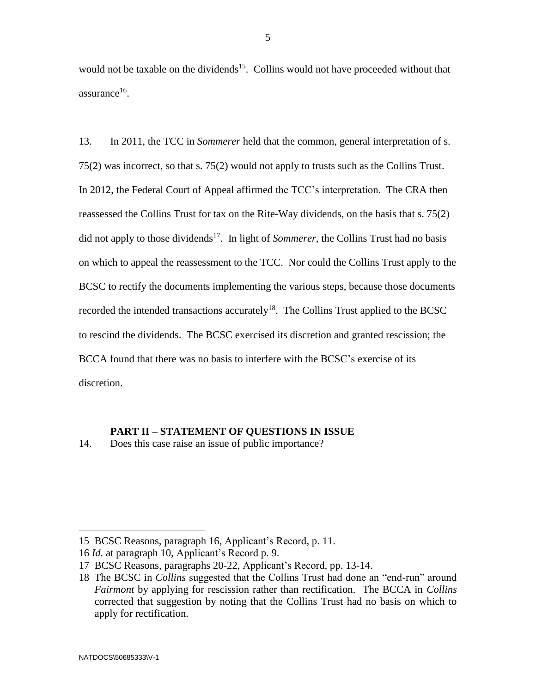would not be taxable on the dividends<sup>15</sup>. Collins would not have proceeded without that  $assurance<sup>16</sup>$ .

13. In 2011, the TCC in *Sommerer* held that the common, general interpretation of s. 75(2) was incorrect, so that s. 75(2) would not apply to trusts such as the Collins Trust. In 2012, the Federal Court of Appeal affirmed the TCC's interpretation. The CRA then reassessed the Collins Trust for tax on the Rite-Way dividends, on the basis that s. 75(2) did not apply to those dividends<sup>17</sup>. In light of *Sommerer*, the Collins Trust had no basis on which to appeal the reassessment to the TCC. Nor could the Collins Trust apply to the BCSC to rectify the documents implementing the various steps, because those documents recorded the intended transactions accurately<sup>18</sup>. The Collins Trust applied to the BCSC to rescind the dividends. The BCSC exercised its discretion and granted rescission; the BCCA found that there was no basis to interfere with the BCSC's exercise of its discretion.

#### **PART II – STATEMENT OF QUESTIONS IN ISSUE**

14. Does this case raise an issue of public importance?

<sup>15</sup> BCSC Reasons, paragraph 16, Applicant's Record, p. 11.

<sup>16</sup> *Id.* at paragraph 10, Applicant's Record p. 9.

<sup>17</sup> BCSC Reasons, paragraphs 20-22, Applicant's Record, pp. 13-14.

<sup>18</sup> The BCSC in *Collins* suggested that the Collins Trust had done an "end-run" around *Fairmont* by applying for rescission rather than rectification. The BCCA in *Collins* corrected that suggestion by noting that the Collins Trust had no basis on which to apply for rectification.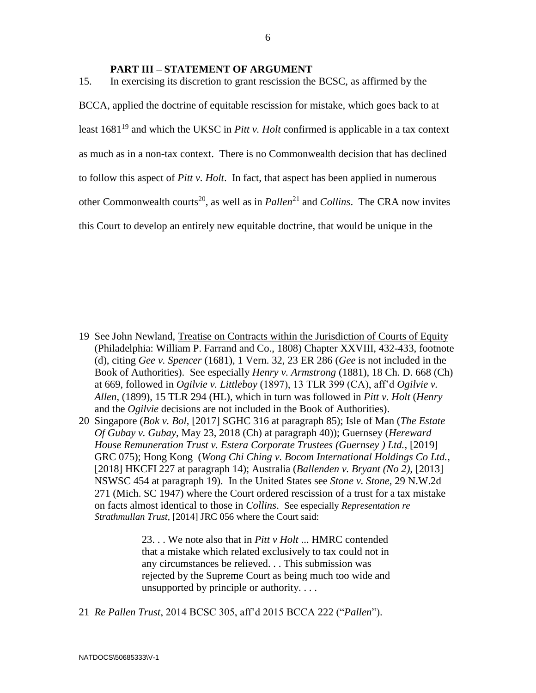#### **PART III – STATEMENT OF ARGUMENT**

15. In exercising its discretion to grant rescission the BCSC, as affirmed by the BCCA, applied the doctrine of equitable rescission for mistake, which goes back to at least 1681<sup>19</sup> and which the UKSC in *Pitt v. Holt* confirmed is applicable in a tax context as much as in a non-tax context. There is no Commonwealth decision that has declined to follow this aspect of *Pitt v. Holt*. In fact, that aspect has been applied in numerous other Commonwealth courts<sup>20</sup>, as well as in *Pallen*<sup>21</sup> and *Collins*. The CRA now invites this Court to develop an entirely new equitable doctrine, that would be unique in the

23. . . We note also that in *Pitt v Holt* ... HMRC contended that a mistake which related exclusively to tax could not in any circumstances be relieved. . . This submission was rejected by the Supreme Court as being much too wide and unsupported by principle or authority. . . .

21 *Re Pallen Trust*, 2014 BCSC 305, aff'd 2015 BCCA 222 ("*Pallen*").

<sup>19</sup> See John Newland, Treatise on Contracts within the Jurisdiction of Courts of Equity (Philadelphia: William P. Farrand and Co., 1808) Chapter XXVIII, 432-433, footnote (d), citing *Gee v. Spencer* (1681), 1 Vern. 32, 23 ER 286 (*Gee* is not included in the Book of Authorities). See especially *Henry [v. Armstrong](https://nextcanada.westlaw.com/Link/Document/FullText?findType=Y&serNum=1880175389&pubNum=0004910&originatingDoc=I10b717cebf4f63f0e0440003ba0d6c6d&refType=IC&originationContext=document&transitionType=DocumentItem&contextData=(sc.Search))* (1881), 18 Ch. D. 668 (Ch) at 669, followed in *Ogilvie v. Littleboy* (1897), 13 TLR 399 (CA), aff'd *Ogilvie v. Allen*, (1899), 15 TLR 294 (HL), which in turn was followed in *Pitt v. Holt* (*Henry* and the *Ogilvie* decisions are not included in the Book of Authorities).

<sup>20</sup> Singapore (*Bok v. Bol*, [2017] SGHC 316 at paragraph 85); Isle of Man (*The Estate Of Gubay v. Gubay*, May 23, 2018 (Ch) at paragraph 40)); Guernsey (*Hereward House Remuneration Trust v. Estera Corporate Trustees (Guernsey ) Ltd.*, [2019] GRC 075); Hong Kong (*Wong Chi Ching v. Bocom International Holdings Co Ltd.*, [2018] HKCFI 227 at paragraph 14); Australia (*Ballenden v. Bryant (No 2),* [2013] NSWSC 454 at paragraph 19). In the United States see *Stone v. Stone,* 29 [N.W.2d](https://1.next.westlaw.com/Link/Document/FullText?findType=Y&serNum=1947104901&pubNum=595&originatingDoc=I8661ffea53d111d997e0acd5cbb90d3f&refType=RP&originationContext=document&transitionType=DocumentItem&contextData=(sc.Keycite))  [271 \(Mich. SC 1947\)](https://1.next.westlaw.com/Link/Document/FullText?findType=Y&serNum=1947104901&pubNum=595&originatingDoc=I8661ffea53d111d997e0acd5cbb90d3f&refType=RP&originationContext=document&transitionType=DocumentItem&contextData=(sc.Keycite)) where the Court ordered rescission of a trust for a tax mistake on facts almost identical to those in *Collins*. See especially *Representation re Strathmullan Trust*, [2014] JRC 056 where the Court said: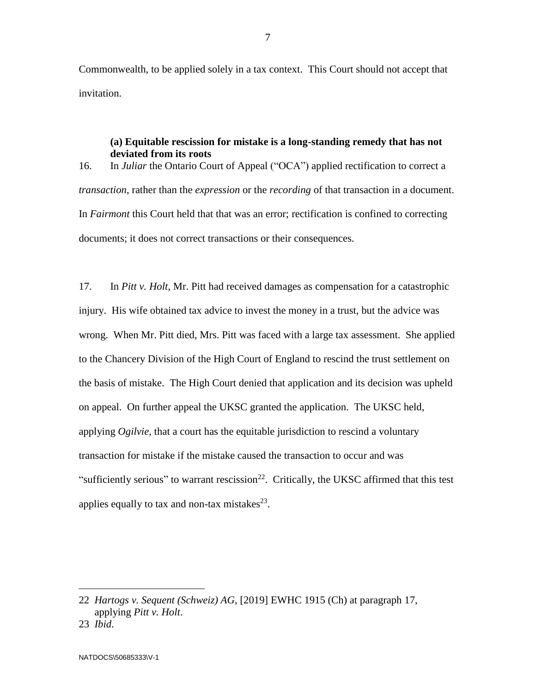Commonwealth, to be applied solely in a tax context. This Court should not accept that invitation.

# **(a) Equitable rescission for mistake is a long-standing remedy that has not deviated from its roots**

16. In *Juliar* the Ontario Court of Appeal ("OCA") applied rectification to correct a *transaction*, rather than the *expression* or the *recording* of that transaction in a document. In *Fairmont* this Court held that that was an error; rectification is confined to correcting documents; it does not correct transactions or their consequences.

17. In *Pitt v. Holt*, Mr. Pitt had received damages as compensation for a catastrophic injury. His wife obtained tax advice to invest the money in a trust, but the advice was wrong. When Mr. Pitt died, Mrs. Pitt was faced with a large tax assessment. She applied to the Chancery Division of the High Court of England to rescind the trust settlement on the basis of mistake. The High Court denied that application and its decision was upheld on appeal. On further appeal the UKSC granted the application. The UKSC held, applying *Ogilvie*, that a court has the equitable jurisdiction to rescind a voluntary transaction for mistake if the mistake caused the transaction to occur and was "sufficiently serious" to warrant rescission<sup>22</sup>. Critically, the UKSC affirmed that this test applies equally to tax and non-tax mistakes $^{23}$ .

 $\overline{a}$ 

7

<sup>22</sup> *Hartogs v. Sequent (Schweiz) AG*, [2019] EWHC 1915 (Ch) at paragraph 17, applying *Pitt v. Holt*.

<sup>23</sup> *Ibid*.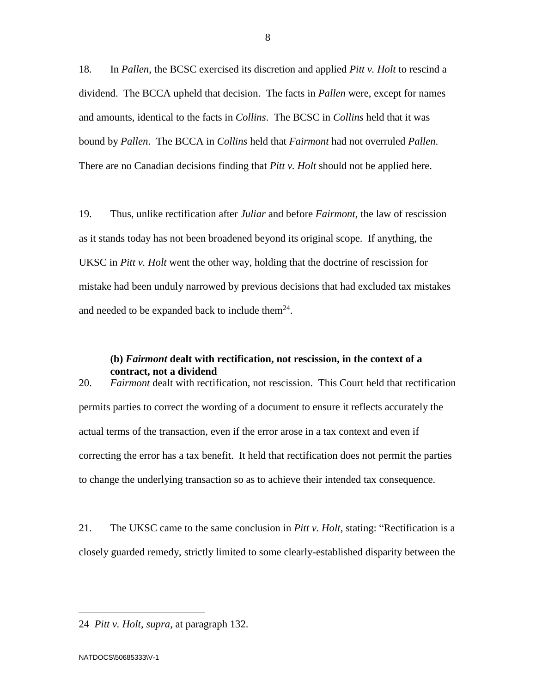18. In *Pallen*, the BCSC exercised its discretion and applied *Pitt v. Holt* to rescind a dividend. The BCCA upheld that decision. The facts in *Pallen* were, except for names and amounts, identical to the facts in *Collins*. The BCSC in *Collins* held that it was bound by *Pallen*. The BCCA in *Collins* held that *Fairmont* had not overruled *Pallen*. There are no Canadian decisions finding that *Pitt v. Holt* should not be applied here.

19. Thus, unlike rectification after *Juliar* and before *Fairmont,* the law of rescission as it stands today has not been broadened beyond its original scope. If anything, the UKSC in *Pitt v. Holt* went the other way, holding that the doctrine of rescission for mistake had been unduly narrowed by previous decisions that had excluded tax mistakes and needed to be expanded back to include them $^{24}$ .

#### **(b)** *Fairmont* **dealt with rectification, not rescission, in the context of a contract, not a dividend**

20. *Fairmont* dealt with rectification, not rescission. This Court held that rectification permits parties to correct the wording of a document to ensure it reflects accurately the actual terms of the transaction, even if the error arose in a tax context and even if correcting the error has a tax benefit. It held that rectification does not permit the parties to change the underlying transaction so as to achieve their intended tax consequence.

21. The UKSC came to the same conclusion in *Pitt v. Holt*, stating: "Rectification is a closely guarded remedy, strictly limited to some clearly-established disparity between the

<sup>24</sup> *Pitt v. Holt*, *supra*, at paragraph 132.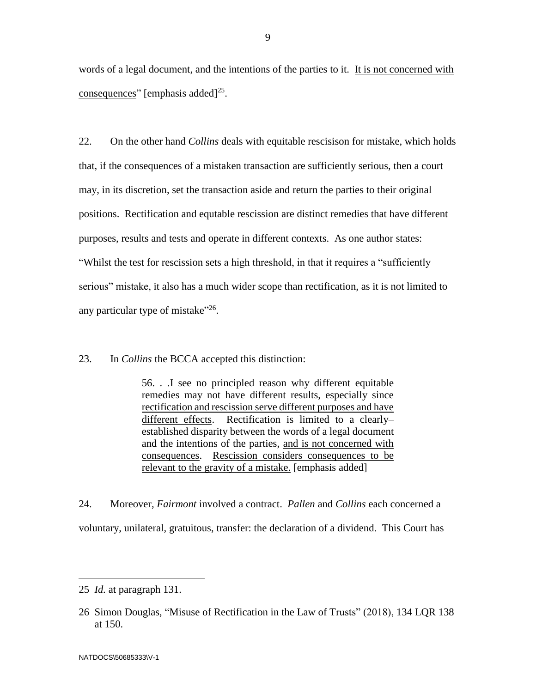words of a legal document, and the intentions of the parties to it. It is not concerned with consequences" [emphasis added]<sup>25</sup>.

22. On the other hand *Collins* deals with equitable rescisison for mistake, which holds that, if the consequences of a mistaken transaction are sufficiently serious, then a court may, in its discretion, set the transaction aside and return the parties to their original positions. Rectification and equtable rescission are distinct remedies that have different purposes, results and tests and operate in different contexts. As one author states: "Whilst the test for rescission sets a high threshold, in that it requires a "sufficiently serious" mistake, it also has a much wider scope than rectification, as it is not limited to any particular type of mistake"<sup>26</sup>.

23. In *Collins* the BCCA accepted this distinction:

56. . .I see no principled reason why different equitable remedies may not have different results, especially since rectification and rescission serve different purposes and have different effects. Rectification is limited to a clearly– established disparity between the words of a legal document and the intentions of the parties, and is not concerned with consequences. Rescission considers consequences to be relevant to the gravity of a mistake. [emphasis added]

24. Moreover, *Fairmont* involved a contract. *Pallen* and *Collins* each concerned a voluntary, unilateral, gratuitous, transfer: the declaration of a dividend. This Court has

<sup>25</sup> *Id.* at paragraph 131.

<sup>26</sup> Simon Douglas, "Misuse of Rectification in the Law of Trusts" (2018), 134 LQR 138 at 150.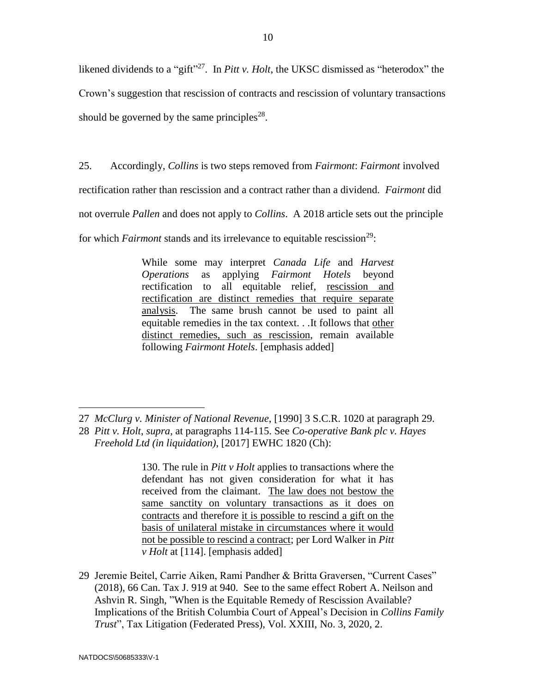likened dividends to a "gift"<sup>27</sup>. In *Pitt v. Holt*, the UKSC dismissed as "heterodox" the Crown's suggestion that rescission of contracts and rescission of voluntary transactions should be governed by the same principles<sup>28</sup>.

25. Accordingly, *Collins* is two steps removed from *Fairmont*: *Fairmont* involved

rectification rather than rescission and a contract rather than a dividend. *Fairmont* did

not overrule *Pallen* and does not apply to *Collins*. A 2018 article sets out the principle

for which *Fairmont* stands and its irrelevance to equitable rescission<sup>29</sup>:

While some may interpret *Canada Life* and *Harvest Operations* as applying *Fairmont Hotels* beyond rectification to all equitable relief, rescission and rectification are distinct remedies that require separate analysis. The same brush cannot be used to paint all equitable remedies in the tax context. . .It follows that other distinct remedies, such as rescission, remain available following *Fairmont Hotels*. [emphasis added]

130. The rule in *Pitt v Holt* applies to transactions where the defendant has not given consideration for what it has received from the claimant. The law does not bestow the same sanctity on voluntary transactions as it does on contracts and therefore it is possible to rescind a gift on the basis of unilateral mistake in circumstances where it would not be possible to rescind a contract; per Lord Walker in *Pitt v Holt* at [114]. [emphasis added]

29 Jeremie Beitel, Carrie Aiken, Rami Pandher & Britta Graversen, "Current Cases" (2018), 66 Can. Tax J. 919 at 940. See to the same effect Robert A. Neilson and Ashvin R. Singh, "When is the Equitable Remedy of Rescission Available? Implications of the British Columbia Court of Appeal's Decision in *Collins Family Trust*", Tax Litigation (Federated Press), Vol. XXIII, No. 3, 2020, 2.

 $\overline{a}$ 27 *McClurg v. Minister of National Revenue*[, \[1990\] 3 S.C.R. 1020](https://nextcanada.westlaw.com/Link/Document/FullText?findType=Y&pubNum=6407&serNum=1990313885&originationContext=document&transitionType=DocumentItem&contextData=(sc.Search)) at paragraph 29.

<sup>28</sup> *Pitt v. Holt*, *supra*, at paragraphs 114-115. See *Co-operative Bank plc v. Hayes Freehold Ltd (in liquidation)*, [2017] EWHC 1820 (Ch):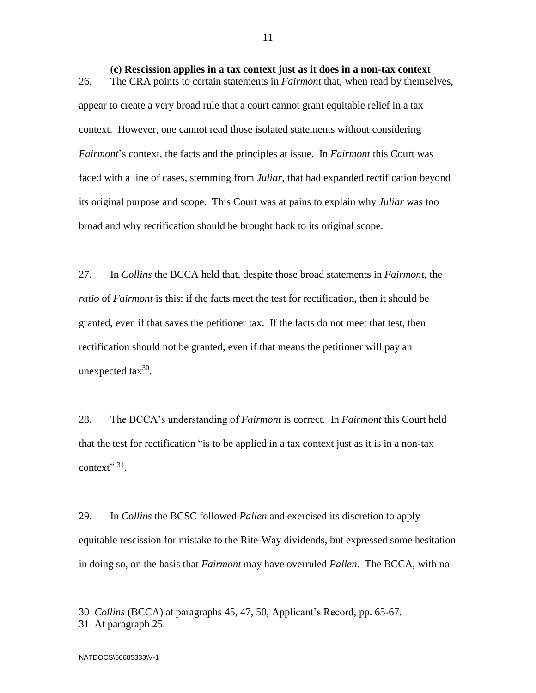**(c) Rescission applies in a tax context just as it does in a non-tax context** 26. The CRA points to certain statements in *Fairmont* that, when read by themselves, appear to create a very broad rule that a court cannot grant equitable relief in a tax context. However, one cannot read those isolated statements without considering *Fairmont*'s context, the facts and the principles at issue. In *Fairmont* this Court was faced with a line of cases, stemming from *Juliar*, that had expanded rectification beyond its original purpose and scope. This Court was at pains to explain why *Juliar* was too broad and why rectification should be brought back to its original scope.

27. In *Collins* the BCCA held that, despite those broad statements in *Fairmont*, the *ratio* of *Fairmont* is this: if the facts meet the test for rectification, then it should be granted, even if that saves the petitioner tax. If the facts do not meet that test, then rectification should not be granted, even if that means the petitioner will pay an unexpected  $\text{tax}^{30}$ .

28. The BCCA's understanding of *Fairmont* is correct. In *Fairmont* this Court held that the test for rectification "is to be applied in a tax context just as it is in a non-tax context"  $31$ .

29. In *Collins* the BCSC followed *Pallen* and exercised its discretion to apply equitable rescission for mistake to the Rite-Way dividends, but expressed some hesitation in doing so, on the basis that *Fairmont* may have overruled *Pallen*. The BCCA, with no

<sup>30</sup> *Collins* (BCCA) at paragraphs 45, 47, 50, Applicant's Record, pp. 65-67.

<sup>31</sup> At paragraph 25.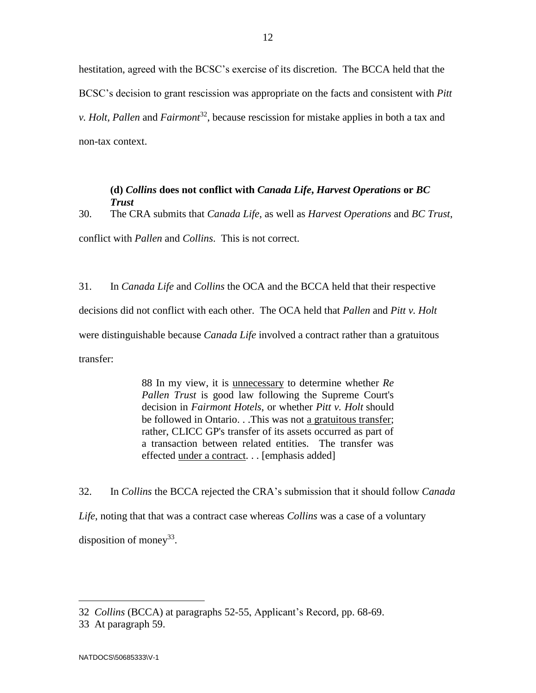hestitation, agreed with the BCSC's exercise of its discretion. The BCCA held that the BCSC's decision to grant rescission was appropriate on the facts and consistent with *Pitt v. Holt, Pallen* and *Fairmont*<sup>32</sup>, because rescission for mistake applies in both a tax and non-tax context.

#### **(d)** *Collins* **does not conflict with** *Canada Life***,** *Harvest Operations* **or** *BC Trust*

30. The CRA submits that *Canada Life*, as well as *Harvest Operations* and *BC Trust*, conflict with *Pallen* and *Collins*. This is not correct.

31. In *Canada Life* and *Collins* the OCA and the BCCA held that their respective decisions did not conflict with each other. The OCA held that *Pallen* and *Pitt v. Holt* were distinguishable because *Canada Life* involved a contract rather than a gratuitous transfer:

> 88 In my view, it is unnecessary to determine whether *[Re](https://nextcanada.westlaw.com/Link/Document/FullText?findType=Y&pubNum=6407&serNum=2036311063&originationContext=document&transitionType=DocumentItem&contextData=(sc.Search))  [Pallen Trust](https://nextcanada.westlaw.com/Link/Document/FullText?findType=Y&pubNum=6407&serNum=2036311063&originationContext=document&transitionType=DocumentItem&contextData=(sc.Search))* is good law following the Supreme Court's decision in *[Fairmont Hotels](https://nextcanada.westlaw.com/Link/Document/FullText?findType=Y&pubNum=6407&serNum=2036471581&originationContext=document&transitionType=DocumentItem&contextData=(sc.Search))*, or whether *Pitt v. Holt* should be followed in Ontario. . .This was not a gratuitous transfer; rather, CLICC GP's transfer of its assets occurred as part of a transaction between related entities. The transfer was effected under a contract. . . [emphasis added]

32. In *Collins* the BCCA rejected the CRA's submission that it should follow *Canada Life*, noting that that was a contract case whereas *Collins* was a case of a voluntary disposition of money<sup>33</sup>.

<sup>32</sup> *Collins* (BCCA) at paragraphs 52-55, Applicant's Record, pp. 68-69.

<sup>33</sup> At paragraph 59.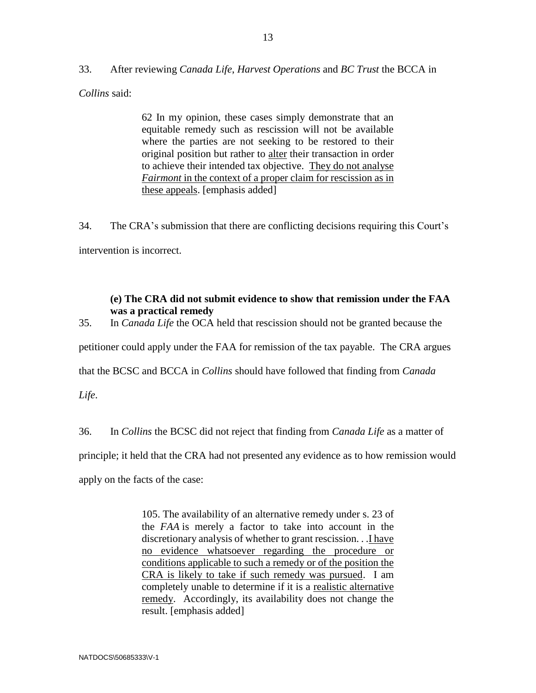33. After reviewing *Canada Life*, *Harvest Operations* and *BC Trust* the BCCA in

*Collins* said:

62 In my opinion, these cases simply demonstrate that an equitable remedy such as rescission will not be available where the parties are not seeking to be restored to their original position but rather to alter their transaction in order to achieve their intended tax objective. They do not analyse *[Fairmont](https://nextcanada.westlaw.com/Link/Document/FullText?findType=Y&pubNum=6407&serNum=2040493099&originationContext=document&transitionType=DocumentItem&contextData=(sc.Keycite))* in the context of a proper claim for rescission as in these appeals. [emphasis added]

34. The CRA's submission that there are conflicting decisions requiring this Court's intervention is incorrect.

# **(e) The CRA did not submit evidence to show that remission under the FAA was a practical remedy**

35. In *Canada Life* the OCA held that rescission should not be granted because the

petitioner could apply under the FAA for remission of the tax payable. The CRA argues

that the BCSC and BCCA in *Collins* should have followed that finding from *Canada* 

*Life*.

36. In *Collins* the BCSC did not reject that finding from *Canada Life* as a matter of

principle; it held that the CRA had not presented any evidence as to how remission would

apply on the facts of the case:

105. The availability of an alternative remedy under s. 23 of the *FAA* is merely a factor to take into account in the discretionary analysis of whether to grant rescission. . . I have no evidence whatsoever regarding the procedure or conditions applicable to such a remedy or of the position the CRA is likely to take if such remedy was pursued. I am completely unable to determine if it is a realistic alternative remedy. Accordingly, its availability does not change the result. [emphasis added]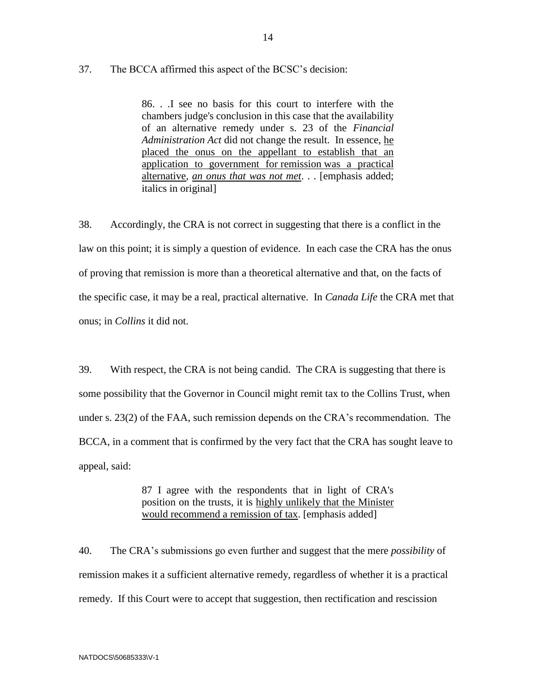# 37. The BCCA affirmed this aspect of the BCSC's decision:

86. . .I see no basis for this court to interfere with the chambers judge's conclusion in this case that the availability of an alternative remedy under s. 23 of the *Financial Administration Act* did not change the result. In essence, he placed the onus on the appellant to establish that an application to government for remission was a practical alternative, *an onus that was not met*. . . [emphasis added; italics in original]

38. Accordingly, the CRA is not correct in suggesting that there is a conflict in the law on this point; it is simply a question of evidence. In each case the CRA has the onus of proving that remission is more than a theoretical alternative and that, on the facts of the specific case, it may be a real, practical alternative. In *Canada Life* the CRA met that onus; in *Collins* it did not.

39. With respect, the CRA is not being candid. The CRA is suggesting that there is some possibility that the Governor in Council might remit tax to the Collins Trust, when under s. 23(2) of the FAA, such remission depends on the CRA's recommendation. The BCCA, in a comment that is confirmed by the very fact that the CRA has sought leave to appeal, said:

> 87 I agree with the respondents that in light of CRA's position on the trusts, it is highly unlikely that the Minister would recommend a remission of tax. [emphasis added]

40. The CRA's submissions go even further and suggest that the mere *possibility* of remission makes it a sufficient alternative remedy, regardless of whether it is a practical remedy. If this Court were to accept that suggestion, then rectification and rescission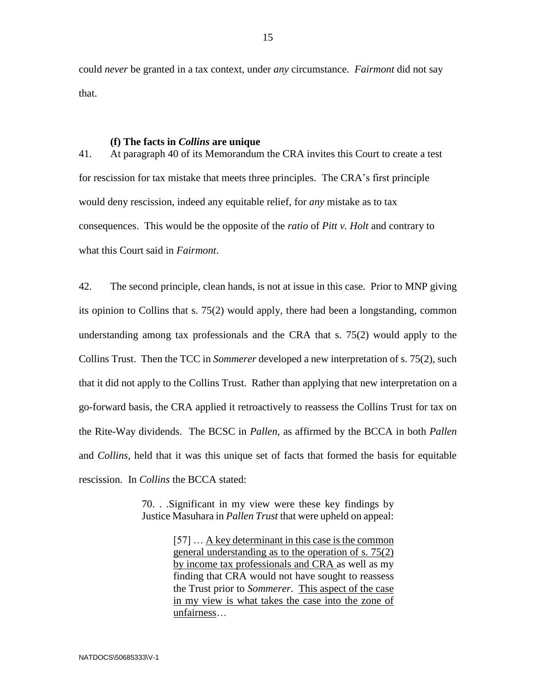could *never* be granted in a tax context, under *any* circumstance. *Fairmont* did not say that.

#### **(f) The facts in** *Collins* **are unique**

41. At paragraph 40 of its Memorandum the CRA invites this Court to create a test for rescission for tax mistake that meets three principles. The CRA's first principle would deny rescission, indeed any equitable relief, for *any* mistake as to tax consequences. This would be the opposite of the *ratio* of *Pitt v. Holt* and contrary to what this Court said in *Fairmont*.

42. The second principle, clean hands, is not at issue in this case. Prior to MNP giving its opinion to Collins that s. 75(2) would apply, there had been a longstanding, common understanding among tax professionals and the CRA that s. 75(2) would apply to the Collins Trust. Then the TCC in *Sommerer* developed a new interpretation of s. 75(2), such that it did not apply to the Collins Trust. Rather than applying that new interpretation on a go-forward basis, the CRA applied it retroactively to reassess the Collins Trust for tax on the Rite-Way dividends. The BCSC in *Pallen*, as affirmed by the BCCA in both *Pallen* and *Collins*, held that it was this unique set of facts that formed the basis for equitable rescission. In *Collins* the BCCA stated:

> 70. . .Significant in my view were these key findings by Justice Masuhara in *[Pallen Trust](https://v3.taxnetpro.com/Document/I168a1e0cfc116a1ee0540021280d79ee/View/FullText.html?originationContext=document&transitionType=DocumentItem&contextData=(sc.Search))* that were upheld on appeal:

> > [57] … A key determinant in this case is the common general understanding as to the operation of s. 75(2) by income tax professionals and CRA as well as my finding that CRA would not have sought to reassess the Trust prior to *Sommerer*. This aspect of the case in my view is what takes the case into the zone of unfairness…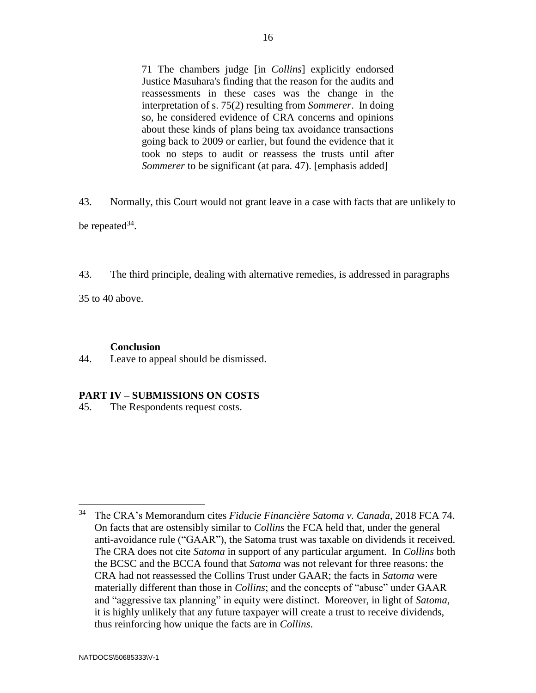71 The chambers judge [in *Collins*] explicitly endorsed Justice Masuhara's finding that the reason for the audits and reassessments in these cases was the change in the interpretation of s. 75(2) resulting from *[Sommerer](https://v3.taxnetpro.com/Document/Ia17504efa98a08c7e0440003baa9c40c/View/FullText.html?originationContext=document&transitionType=DocumentItem&contextData=(sc.Search))*. In doing so, he considered evidence of CRA concerns and opinions about these kinds of plans being tax avoidance transactions going back to 2009 or earlier, but found the evidence that it took no steps to audit or reassess the trusts until after *[Sommerer](https://v3.taxnetpro.com/Document/Ia17504efa98a08c7e0440003baa9c40c/View/FullText.html?originationContext=document&transitionType=DocumentItem&contextData=(sc.Search))* to be significant (at para. 47). [emphasis added]

43. Normally, this Court would not grant leave in a case with facts that are unlikely to be repeated  $34$ .

43. The third principle, dealing with alternative remedies, is addressed in paragraphs

35 to 40 above.

#### **Conclusion**

44. Leave to appeal should be dismissed.

#### **PART IV – SUBMISSIONS ON COSTS**

45. The Respondents request costs.

<sup>34</sup> The CRA's Memorandum cites *Fiducie Financière Satoma v. Canada*, 2018 FCA 74. On facts that are ostensibly similar to *Collins* the FCA held that, under the general anti-avoidance rule ("GAAR"), the Satoma trust was taxable on dividends it received. The CRA does not cite *Satoma* in support of any particular argument. In *Collins* both the BCSC and the BCCA found that *Satoma* was not relevant for three reasons: the CRA had not reassessed the Collins Trust under GAAR; the facts in *Satoma* were materially different than those in *Collins*; and the concepts of "abuse" under GAAR and "aggressive tax planning" in equity were distinct. Moreover, in light of *Satoma*, it is highly unlikely that any future taxpayer will create a trust to receive dividends, thus reinforcing how unique the facts are in *Collins*.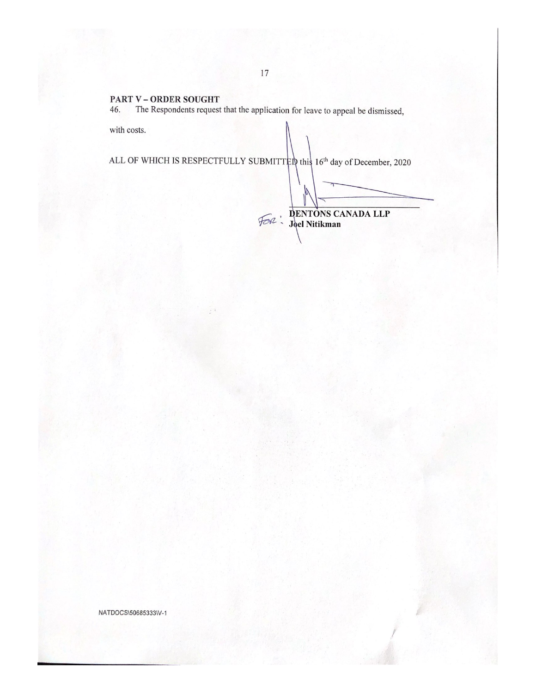#### PART V - ORDER SOUGHT

The Respondents request that the application for leave to appeal be dismissed, 46.

with costs.

# ALL OF WHICH IS RESPECTFULLY SUBMITTED this 16<sup>th</sup> day of December, 2020

DENTONS CANADA LLP

NATDOCS\50685333\V-1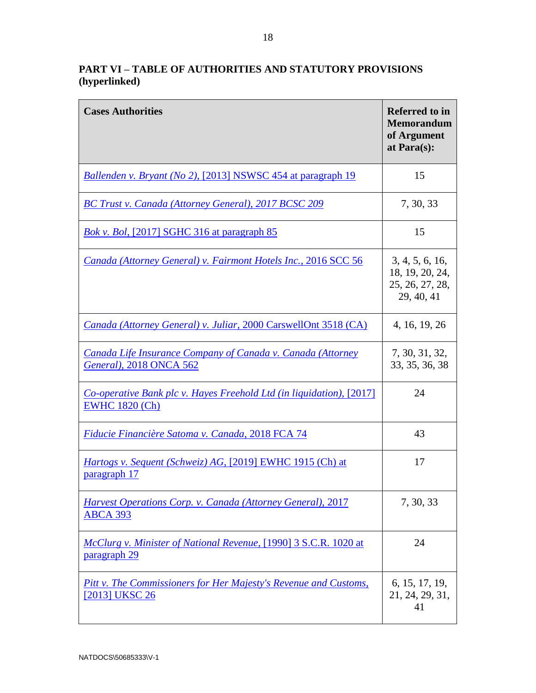# **PART VI – TABLE OF AUTHORITIES AND STATUTORY PROVISIONS (hyperlinked)**

| <b>Cases Authorities</b>                                                                      | <b>Referred to in</b><br><b>Memorandum</b><br>of Argument<br>at Para(s): |
|-----------------------------------------------------------------------------------------------|--------------------------------------------------------------------------|
| Ballenden v. Bryant (No 2), [2013] NSWSC 454 at paragraph 19                                  | 15                                                                       |
| BC Trust v. Canada (Attorney General), 2017 BCSC 209                                          | 7, 30, 33                                                                |
| <b>Bok v. Bol, [2017] SGHC 316 at paragraph 85</b>                                            | 15                                                                       |
| Canada (Attorney General) v. Fairmont Hotels Inc., 2016 SCC 56                                | 3, 4, 5, 6, 16,<br>18, 19, 20, 24,<br>25, 26, 27, 28,<br>29, 40, 41      |
| Canada (Attorney General) v. Juliar, 2000 CarswellOnt 3518 (CA)                               | 4, 16, 19, 26                                                            |
| <b>Canada Life Insurance Company of Canada v. Canada (Attorney</b><br>General), 2018 ONCA 562 | 7, 30, 31, 32,<br>33, 35, 36, 38                                         |
| Co-operative Bank plc v. Hayes Freehold Ltd (in liquidation), [2017]<br><b>EWHC 1820 (Ch)</b> | 24                                                                       |
| Fiducie Financière Satoma v. Canada, 2018 FCA 74                                              | 43                                                                       |
| Hartogs v. Sequent (Schweiz) AG, [2019] EWHC 1915 (Ch) at<br>paragraph 17                     | 17                                                                       |
| <b>Harvest Operations Corp. v. Canada (Attorney General), 2017</b><br><b>ABCA 393</b>         | 7, 30, 33                                                                |
| McClurg v. Minister of National Revenue, [1990] 3 S.C.R. 1020 at<br>paragraph 29              | 24                                                                       |
| Pitt v. The Commissioners for Her Majesty's Revenue and Customs,<br>[2013] UKSC 26            | 6, 15, 17, 19,<br>21, 24, 29, 31,<br>41                                  |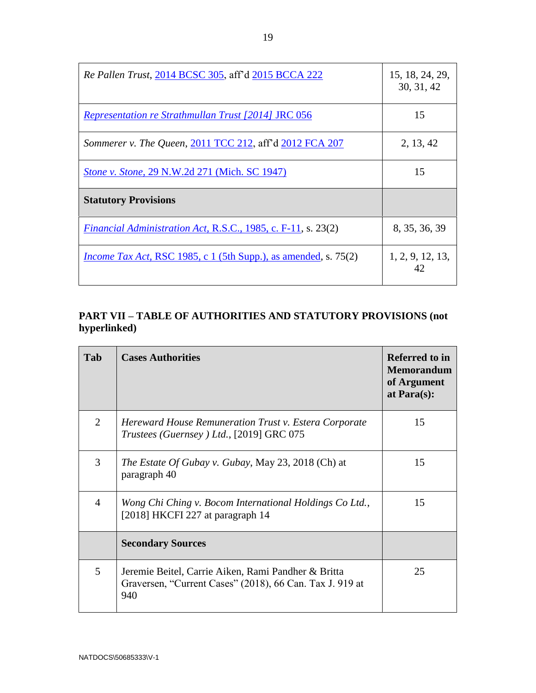| Re Pallen Trust, 2014 BCSC 305, aff'd 2015 BCCA 222                    | 15, 18, 24, 29,<br>30, 31, 42 |
|------------------------------------------------------------------------|-------------------------------|
| <i>Representation re Strathmullan Trust [2014] JRC 056</i>             | 15                            |
| Sommerer v. The Queen, 2011 TCC 212, aff'd 2012 FCA 207                | 2, 13, 42                     |
| <b>Stone v. Stone, 29 N.W.2d 271 (Mich. SC 1947)</b>                   | 15                            |
| <b>Statutory Provisions</b>                                            |                               |
| <i>Financial Administration Act, R.S.C., 1985, c. F-11, s. 23(2)</i>   | 8, 35, 36, 39                 |
| <i>Income Tax Act, RSC 1985, c 1 (5th Supp.), as amended, s. 75(2)</i> | 1, 2, 9, 12, 13,<br>42        |

# **PART VII – TABLE OF AUTHORITIES AND STATUTORY PROVISIONS (not hyperlinked)**

| Tab            | <b>Cases Authorities</b>                                                                                               | <b>Referred to in</b><br><b>Memorandum</b><br>of Argument<br>at Para $(s)$ : |
|----------------|------------------------------------------------------------------------------------------------------------------------|------------------------------------------------------------------------------|
| 2              | Hereward House Remuneration Trust v. Estera Corporate<br>Trustees (Guernsey) Ltd., [2019] GRC 075                      | 15                                                                           |
| 3              | The Estate Of Gubay v. Gubay, May 23, 2018 (Ch) at<br>paragraph 40                                                     | 15                                                                           |
| $\overline{4}$ | Wong Chi Ching v. Bocom International Holdings Co Ltd.,<br>[2018] HKCFI 227 at paragraph 14                            | 15                                                                           |
|                | <b>Secondary Sources</b>                                                                                               |                                                                              |
| 5              | Jeremie Beitel, Carrie Aiken, Rami Pandher & Britta<br>Graversen, "Current Cases" (2018), 66 Can. Tax J. 919 at<br>940 | 25                                                                           |